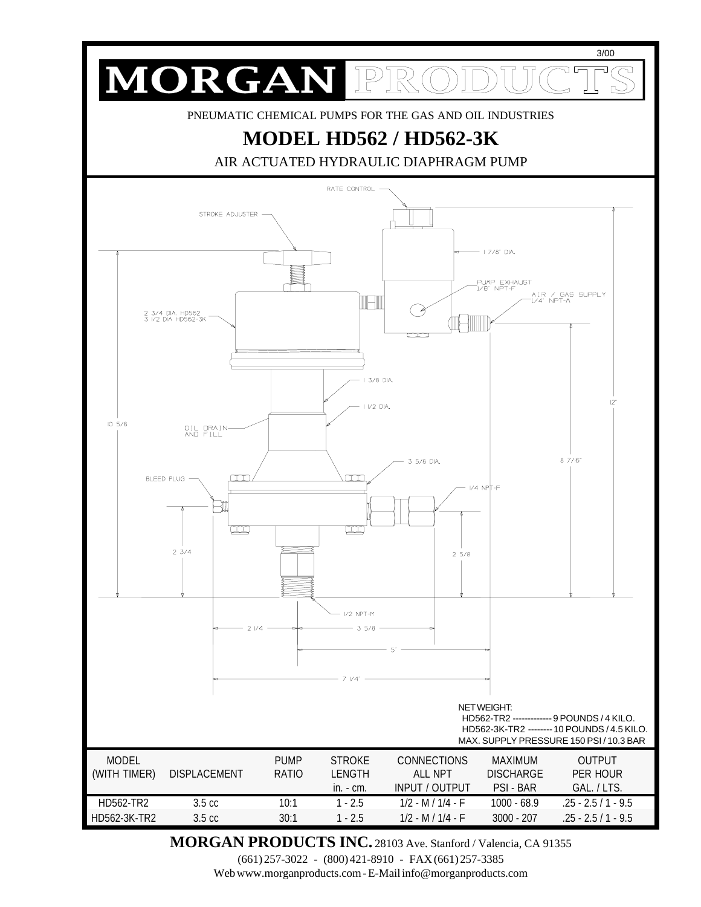

**MORGAN PRODUCTS INC.** 28103 Ave. Stanford / Valencia, CA 91355

(661) 257-3022 - (800) 421-8910 - FAX (661) 257-3385

Web www.morganproducts.com - E-Mail info@morganproducts.com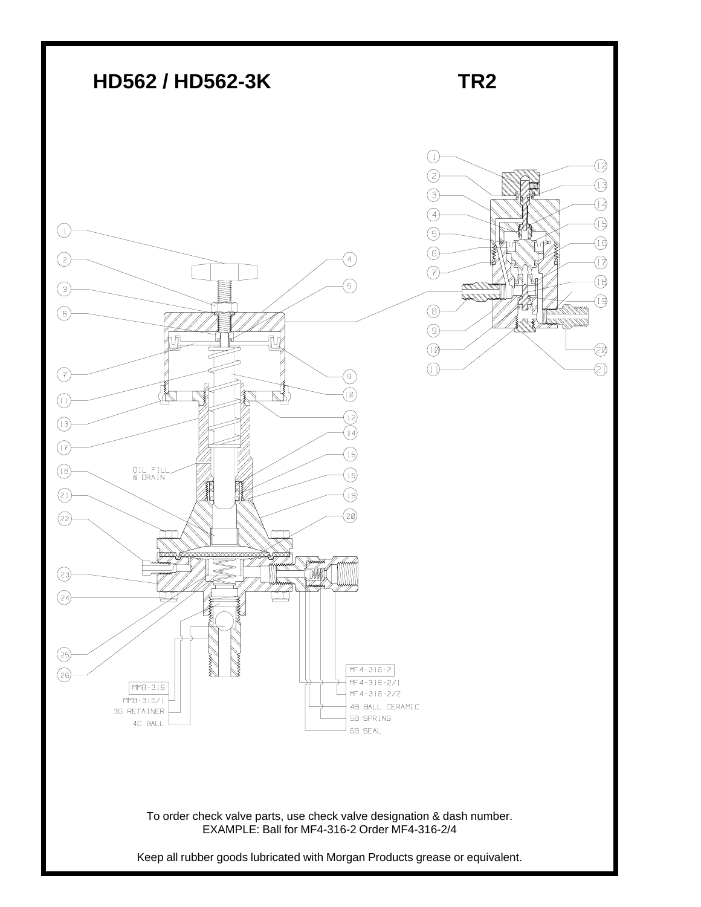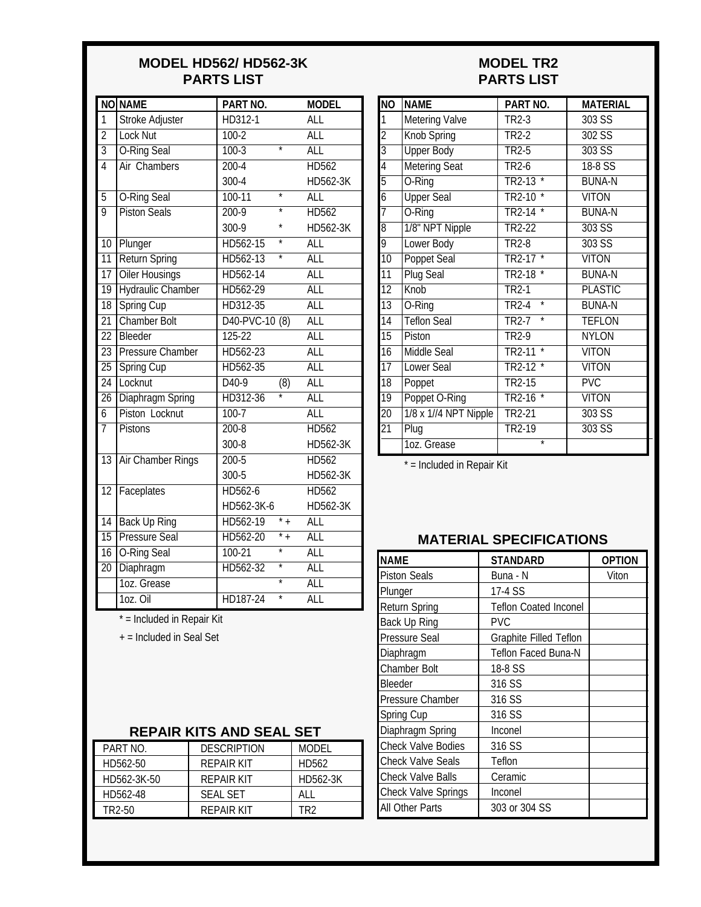#### **MODEL HD562/ HD562-3K PARTS LIST**

|                 | <b>NO NAME</b>           | PART NO.                               | <b>MODEL</b> |
|-----------------|--------------------------|----------------------------------------|--------------|
| 1               | Stroke Adjuster          | HD312-1                                | ALL          |
| $\overline{2}$  | <b>Lock Nut</b>          | $100 - 2$                              | <b>ALL</b>   |
| $\overline{3}$  | <b>O-Ring Seal</b>       | $100-3$<br>$\overline{\ast}$           | <b>ALL</b>   |
| $\overline{4}$  | <b>Air Chambers</b>      | $200 - 4$                              | <b>HD562</b> |
|                 |                          | $300 - 4$                              | HD562-3K     |
| $\overline{5}$  | <b>O-Ring Seal</b>       | $100-11$<br>$\overline{\ast}$          | <b>ALL</b>   |
| $\overline{9}$  | <b>Piston Seals</b>      | $200-9$                                | <b>HD562</b> |
|                 |                          | 300-9                                  | HD562-3K     |
| 10              | Plunger                  | HD562-15                               | <b>ALL</b>   |
| $\overline{11}$ | Return Spring            | HD562-13                               | <b>ALL</b>   |
|                 | 17 Oiler Housings        | HD562-14                               | <b>ALL</b>   |
| $\overline{19}$ | <b>Hydraulic Chamber</b> | HD562-29                               | <b>ALL</b>   |
| $\overline{18}$ | <b>Spring Cup</b>        | HD312-35                               | <b>ALL</b>   |
| $\overline{21}$ | <b>Chamber Bolt</b>      | D40-PVC-10 (8)                         | <b>ALL</b>   |
| $\overline{22}$ | Bleeder                  | $125 - 22$                             | <b>ALL</b>   |
| $\overline{23}$ | <b>Pressure Chamber</b>  | HD562-23                               | <b>ALL</b>   |
| $\overline{25}$ | Spring Cup               | HD562-35                               | <b>ALL</b>   |
| $\overline{24}$ | Locknut                  | $\overline{D40-9}$<br>$\overline{(8)}$ | <b>ALL</b>   |
| $\overline{26}$ | <b>Diaphragm Spring</b>  | HD312-36                               | <b>ALL</b>   |
| $\overline{6}$  | Piston Locknut           | $100 - 7$                              | <b>ALL</b>   |
| $\overline{7}$  | <b>Pistons</b>           | $200 - 8$                              | <b>HD562</b> |
|                 |                          | 300-8                                  | HD562-3K     |
| $\overline{13}$ | <b>Air Chamber Rings</b> | $200 - 5$                              | <b>HD562</b> |
|                 |                          | 300-5                                  | HD562-3K     |
| $\overline{12}$ | Faceplates               | HD562-6                                | <b>HD562</b> |
|                 |                          | HD562-3K-6                             | HD562-3K     |
| $\overline{14}$ | <b>Back Up Ring</b>      | $* +$<br>HD562-19                      | <b>ALL</b>   |
| $\overline{15}$ | <b>Pressure Seal</b>     | $*$ <sub>+</sub><br>HD562-20           | <b>ALL</b>   |
| 16              | <b>O-Ring Seal</b>       | $100 - 21$                             | <b>ALL</b>   |
| $\overline{20}$ | Diaphragm                | HD562-32                               | <b>ALL</b>   |
|                 | 1oz. Grease              | $\overline{\ast}$                      | <b>ALL</b>   |
|                 | 1oz. Oil                 | HD187-24                               | <b>ALL</b>   |

#### **MODEL TR2 PARTS LIST**

| <b>NO</b>       | <b>NAME</b>           | PART NO.                     | <b>MATERIAL</b> |  |
|-----------------|-----------------------|------------------------------|-----------------|--|
| 1               | <b>Metering Valve</b> | TR <sub>2</sub> -3           | 303 SS          |  |
| $\overline{2}$  | Knob Spring           | TR <sub>2</sub> -2           | $302$ SS        |  |
| $\overline{3}$  | <b>Upper Body</b>     | $TR2-5$                      | $303$ SS        |  |
| $\overline{4}$  | <b>Metering Seat</b>  | <b>TR2-6</b>                 | 18-8 SS         |  |
| $\overline{5}$  | O-Ring                | $\star$<br>TR2-13            | <b>BUNA-N</b>   |  |
| $\overline{6}$  | <b>Upper Seal</b>     | TR2-10                       | <b>VITON</b>    |  |
| $\overline{7}$  | O-Ring                | <b>TR2-14</b>                | <b>BUNA-N</b>   |  |
| $\overline{8}$  | 1/8" NPT Nipple       | TR2-22                       | 303S            |  |
| 9               | Lower Body            | <b>TR2-8</b>                 | $303$ SS        |  |
| $\overline{10}$ | <b>Poppet Seal</b>    | $\star$<br>TR2-17            | <b>VITON</b>    |  |
| $\overline{11}$ | <b>Plug Seal</b>      | <b>TR2-18</b>                | <b>BUNA-N</b>   |  |
| $\overline{12}$ | Knob                  | TR <sub>2-1</sub>            | <b>PLASTIC</b>  |  |
| $\overline{13}$ | O-Ring                | $\star$<br><b>TR2-4</b>      | <b>BUNA-N</b>   |  |
| $\overline{14}$ | <b>Teflon Seal</b>    | $\overline{\ast}$<br>$TR2-7$ | <b>TEFLON</b>   |  |
| $\overline{15}$ | Piston                | $TR2-9$                      | <b>NYLON</b>    |  |
| $\overline{16}$ | <b>Middle Seal</b>    | TR2-11                       | <b>VITON</b>    |  |
| $\overline{17}$ | Lower Seal            | TR2-12                       | <b>VITON</b>    |  |
| $\overline{18}$ | Poppet                | TR2-15                       | <b>PVC</b>      |  |
| $\overline{19}$ | Poppet O-Ring         | <b>TR2-16</b>                | <b>VITON</b>    |  |
| $\overline{20}$ | 1/8 x 1//4 NPT Nipple | <b>TR2-21</b>                | 303 SS          |  |
| $\overline{21}$ | Plug                  | TR2-19                       | 303 SS          |  |
|                 | 1oz. Grease           | $\overline{\ast}$            |                 |  |

\* = Included in Repair Kit

### **MATERIAL SPECIFICATIONS**

| <b>NAME</b>                | <b>STANDARD</b>              | <b>OPTION</b> |
|----------------------------|------------------------------|---------------|
| <b>Piston Seals</b>        | Buna - N                     | Viton         |
| Plunger                    | 17-4 SS                      |               |
| <b>Return Spring</b>       | <b>Teflon Coated Inconel</b> |               |
| Back Up Ring               | <b>PVC</b>                   |               |
| Pressure Seal              | Graphite Filled Teflon       |               |
| Diaphragm                  | Teflon Faced Buna-N          |               |
| <b>Chamber Bolt</b>        | 18-8 SS                      |               |
| Bleeder                    | 316 SS                       |               |
| Pressure Chamber           | 316 SS                       |               |
| Spring Cup                 | 316 SS                       |               |
| Diaphragm Spring           | Inconel                      |               |
| <b>Check Valve Bodies</b>  | 316 SS                       |               |
| <b>Check Valve Seals</b>   | Teflon                       |               |
| <b>Check Valve Balls</b>   | Ceramic                      |               |
| <b>Check Valve Springs</b> | Inconel                      |               |
| All Other Parts            | 303 or 304 SS                |               |

### \* = Included in Repair Kit

+ = Included in Seal Set

## **REPAIR KITS AND SEAL SET**

| PART NO.    | <b>DESCRIPTION</b> | MODEL    |
|-------------|--------------------|----------|
| HD562-50    | <b>REPAIR KIT</b>  | HD562    |
| HD562-3K-50 | REPAIR KIT         | HD562-3K |
| HD562-48    | <b>SFAL SFT</b>    | AI I     |
| TR2-50      | REPAIR KIT         | TR?      |